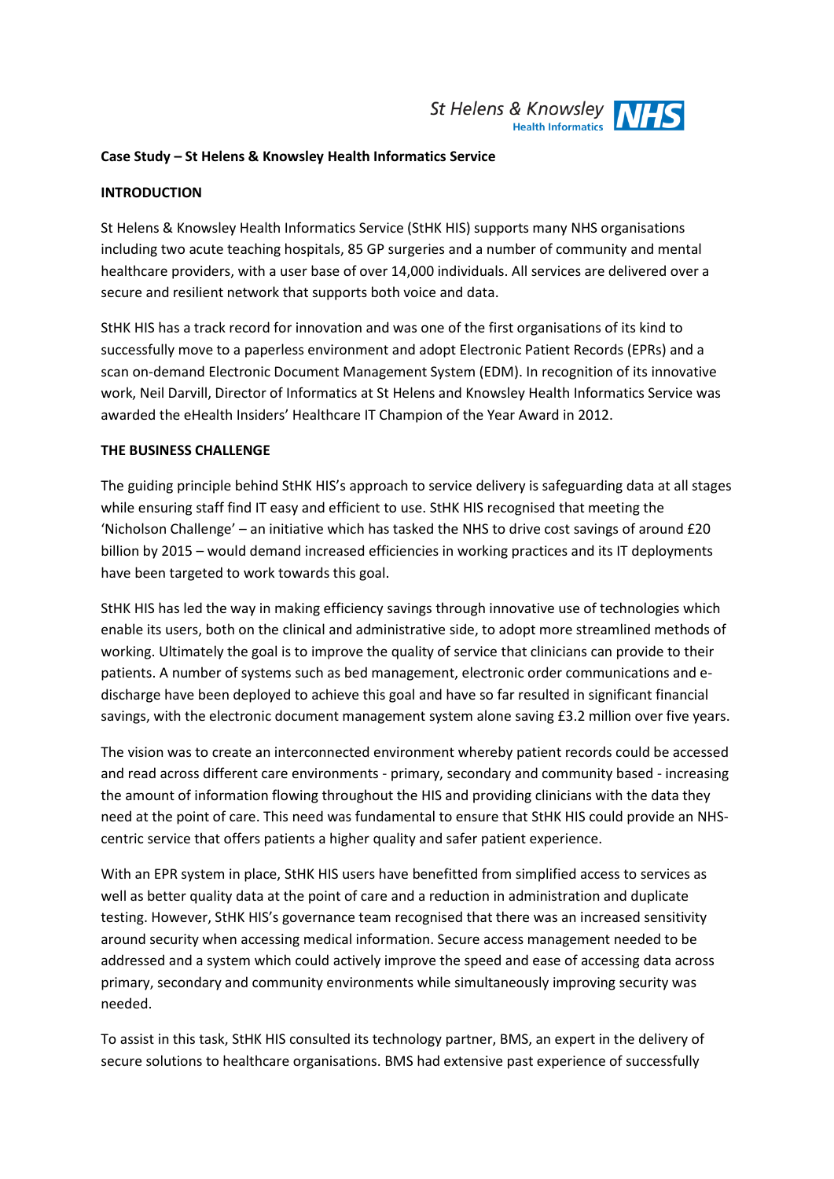

### **Case Study – St Helens & Knowsley Health Informatics Service**

### **INTRODUCTION**

St Helens & Knowsley Health Informatics Service (StHK HIS) supports many NHS organisations including two acute teaching hospitals, 85 GP surgeries and a number of community and mental healthcare providers, with a user base of over 14,000 individuals. All services are delivered over a secure and resilient network that supports both voice and data.

StHK HIS has a track record for innovation and was one of the first organisations of its kind to successfully move to a paperless environment and adopt Electronic Patient Records (EPRs) and a scan on-demand Electronic Document Management System (EDM). In recognition of its innovative work, Neil Darvill, Director of Informatics at St Helens and Knowsley Health Informatics Service was awarded the eHealth Insiders' Healthcare IT Champion of the Year Award in 2012.

## **THE BUSINESS CHALLENGE**

The guiding principle behind StHK HIS's approach to service delivery is safeguarding data at all stages while ensuring staff find IT easy and efficient to use. StHK HIS recognised that meeting the 'Nicholson Challenge' – an initiative which has tasked the NHS to drive cost savings of around £20 billion by 2015 – would demand increased efficiencies in working practices and its IT deployments have been targeted to work towards this goal.

StHK HIS has led the way in making efficiency savings through innovative use of technologies which enable its users, both on the clinical and administrative side, to adopt more streamlined methods of working. Ultimately the goal is to improve the quality of service that clinicians can provide to their patients. A number of systems such as bed management, electronic order communications and edischarge have been deployed to achieve this goal and have so far resulted in significant financial savings, with the electronic document management system alone saving £3.2 million over five years.

The vision was to create an interconnected environment whereby patient records could be accessed and read across different care environments - primary, secondary and community based - increasing the amount of information flowing throughout the HIS and providing clinicians with the data they need at the point of care. This need was fundamental to ensure that StHK HIS could provide an NHScentric service that offers patients a higher quality and safer patient experience.

With an EPR system in place, StHK HIS users have benefitted from simplified access to services as well as better quality data at the point of care and a reduction in administration and duplicate testing. However, StHK HIS's governance team recognised that there was an increased sensitivity around security when accessing medical information. Secure access management needed to be addressed and a system which could actively improve the speed and ease of accessing data across primary, secondary and community environments while simultaneously improving security was needed.

To assist in this task, StHK HIS consulted its technology partner, BMS, an expert in the delivery of secure solutions to healthcare organisations. BMS had extensive past experience of successfully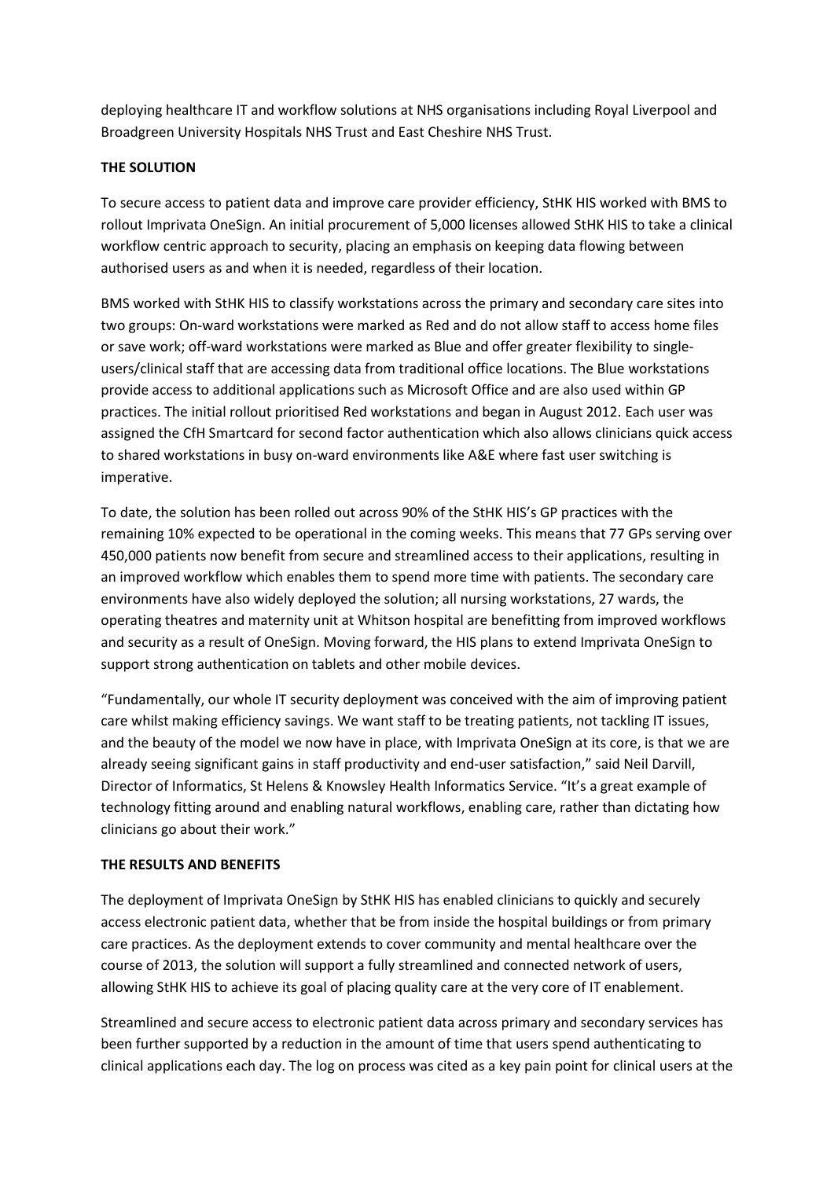deploying healthcare IT and workflow solutions at NHS organisations including Royal Liverpool and Broadgreen University Hospitals NHS Trust and East Cheshire NHS Trust.

# **THE SOLUTION**

To secure access to patient data and improve care provider efficiency, StHK HIS worked with BMS to rollout Imprivata OneSign. An initial procurement of 5,000 licenses allowed StHK HIS to take a clinical workflow centric approach to security, placing an emphasis on keeping data flowing between authorised users as and when it is needed, regardless of their location.

BMS worked with StHK HIS to classify workstations across the primary and secondary care sites into two groups: On-ward workstations were marked as Red and do not allow staff to access home files or save work; off-ward workstations were marked as Blue and offer greater flexibility to singleusers/clinical staff that are accessing data from traditional office locations. The Blue workstations provide access to additional applications such as Microsoft Office and are also used within GP practices. The initial rollout prioritised Red workstations and began in August 2012. Each user was assigned the CfH Smartcard for second factor authentication which also allows clinicians quick access to shared workstations in busy on-ward environments like A&E where fast user switching is imperative.

To date, the solution has been rolled out across 90% of the StHK HIS's GP practices with the remaining 10% expected to be operational in the coming weeks. This means that 77 GPs serving over 450,000 patients now benefit from secure and streamlined access to their applications, resulting in an improved workflow which enables them to spend more time with patients. The secondary care environments have also widely deployed the solution; all nursing workstations, 27 wards, the operating theatres and maternity unit at Whitson hospital are benefitting from improved workflows and security as a result of OneSign. Moving forward, the HIS plans to extend Imprivata OneSign to support strong authentication on tablets and other mobile devices.

"Fundamentally, our whole IT security deployment was conceived with the aim of improving patient care whilst making efficiency savings. We want staff to be treating patients, not tackling IT issues, and the beauty of the model we now have in place, with Imprivata OneSign at its core, is that we are already seeing significant gains in staff productivity and end-user satisfaction," said Neil Darvill, Director of Informatics, St Helens & Knowsley Health Informatics Service. "It's a great example of technology fitting around and enabling natural workflows, enabling care, rather than dictating how clinicians go about their work."

## **THE RESULTS AND BENEFITS**

The deployment of Imprivata OneSign by StHK HIS has enabled clinicians to quickly and securely access electronic patient data, whether that be from inside the hospital buildings or from primary care practices. As the deployment extends to cover community and mental healthcare over the course of 2013, the solution will support a fully streamlined and connected network of users, allowing StHK HIS to achieve its goal of placing quality care at the very core of IT enablement.

Streamlined and secure access to electronic patient data across primary and secondary services has been further supported by a reduction in the amount of time that users spend authenticating to clinical applications each day. The log on process was cited as a key pain point for clinical users at the